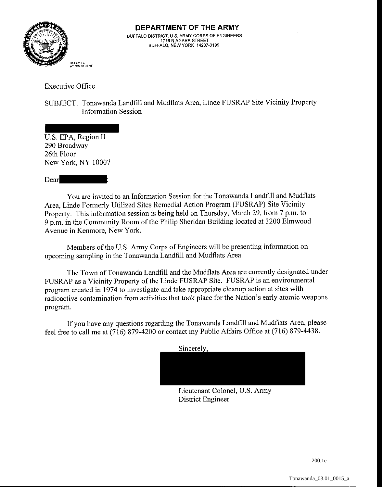

Executive Office

SUBJECT: Tonawanda Landfill and Mudflats Area, Linde FUSRAP Site Vicinity Property Information Session

U.S. EPA, Region I1 290 Broadway 26th Floor New York. NY 10007

Dear

You are invited to an Information Session for the Tonawanda Landfill and Mudflats Area, Linde Formerly Utilized Sites Remedial Action Program (FUSRAP) Site Vicinity Property. This information session is being held on Thursday, March 29, from 7 p.m. to 9 p.m. in the Community Room of the Philip Sheridan Building located at 3200 Elmwood Avenue in Kenmore, New York.

Members of the U.S. Army Corps of Engineers will be presenting information on upcoming sampling in the Tonawanda Landfill and Mudflats Area.

The Town of Tonawanda Landfill and the Mudflats Area are currently designated under FUSRAP as a Vicinity Property of the Linde FUSRAP Site. FUSRAP is an environmental program created in 1974 to investigate and take appropriate cleanup action at sites with radioactive contamination from activities that took place for the Nation's early atomic weapons program.

If you have any questions regarding the Tonawanda Landfill and Mudflats Area, please feel free to call me at (716) 879-4200 or contact my Public Affairs Office at (716) 879-4438.

Sincerely,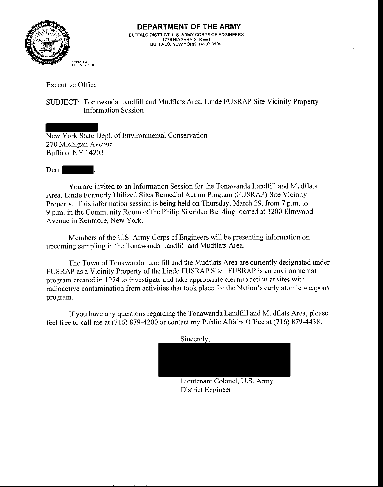

Executive Office

SUBJECT: Tonawanda Landfill and Mudflats Area, Linde FUSRAP Site Vicinity Property Information Session

New York State Dept. of Environmental Conservation 270 Michigan Avenue Buffalo, NY 14203

Dear

You are invited to an Information Session for the Tonawanda Landfill and Mudflats Area, Linde Formerly Utilized Sites Remedial Action Program (FUSRAP) Site Vicinity Property. This information session is being held on Thursday, March 29, from 7 p.m. to 9 p.m. in the Community Room of the Philip Sheridan Building located at 3200 Elmwood Avenue in Kenmore, New York.

Members of the U.S. Army Corps of Engineers will be presenting information on upcoming sampling in the Tonawanda Landfill and Mudflats Area.

The Town of Tonawanda Landfill and the Mudflats Area are currently designated under FUSRAP as a Vicinity Property of the Linde FUSRAP Site. FUSRAP is an environmental program created in 1974 to investigate and take appropriate cleanup action at sites with radioactive contamination from activities that took place for the Nation's early atomic weapons program.

If you have any questions regarding the Tonawanda Landfill and Mudflats Area, please feel free to call me at (716) 879-4200 or contact my Public Affairs Office at (716) 879-4438.

Sincerely,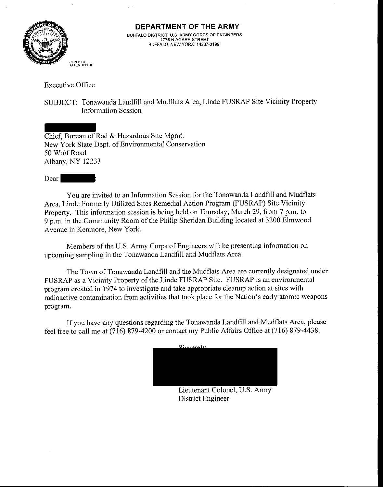

Executive Office

SUBJECT: Tonawanda Landfill and Mudflats Area, Linde FUSRAP Site Vicinity Property Information Session

Chief, Bureau of Rad & Hazardous Site Mgmt. New York State Dept. of Environmental Conservation 50 Wolf Road Albany, NY 12233

Dear :

You are invited to an Information Session for the Tonawanda Landfill and Mudflats Area, Linde Formerly Utilized Sites Remedial Action Program (FUSRAP) Site Vicinity Property. This information session is being held on Thursday, March 29, from 7 p.m. to 9 p.m. in the Community Room of the Philip Sheridan Building located at 3200 Elmwood Avenue in Kenmore, New York.

Members of the U.S. Army Corps of Engineers will be presenting information on upcoming sampling in the Tonawanda Landfill and Mudflats Area.

The Town of Tonawanda Landfill and the Mudflats Area are currently designated under FUSRAP as a Vicinity Property of the Linde FUSRAP Site. FUSRAP is an environmental program created in 1974 to investigate and take appropriate cleanup action at sites with radioactive contamination from activities that took place for the Nation's early atomic weapons program.

If you have any questions regarding the Tonawanda Landfill and Mudflats Area, please feel free to call me at (716) 879-4200 or contact my Public Affairs Office at (716) 879-4438.

Sincerely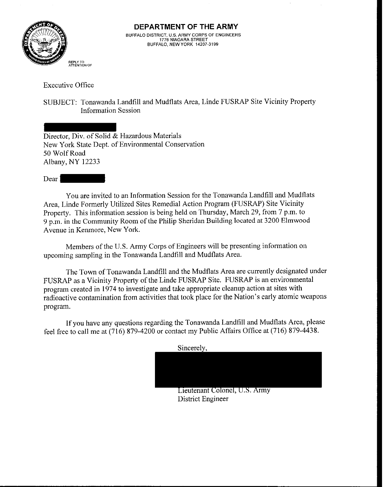

Executive Office

SUBJECT: Tonawanda Landfill and Mudflats Area, Linde FUSRAP Site Vicinity Property Information Session

Director, Div. of  $\overline{\text{Solid}} \&$  Hazardous Materials New York State Dept. of Environmental Conservation 50 Wolf Road Albany, NY 12233

Dear 1

You are invited to an Information Session for the Tonawanda Landfill and Mudflats Area, Linde Formerly Utilized Sites Remedial Action Program (FUSRAP) Site Vicinity Property. This information session is being held on Thursday, March 29, from 7 p.m. to 9 p.m. in the Community Room of the Philip Sheridan Building located at 3200 Elmwood Avenue in Kenmore, New York.

Members of the U.S. Army Corps of Engineers will be presenting information on upcoming sampling in the Tonawanda Landfill and Mudflats Area.

The Town of Tonawanda Landfill and the Mudflats Area are currently designated under FUSRAP as a Vicinity Property of the Linde FUSRAP Site. FUSRAP is an environmental program created in 1974 to investigate and take appropriate cleanup action at sites with radioactive contamination from activities that took place for the Nation's early atomic weapons program.

If you have any questions regarding the Tonawanda Landfill and Mudflats Area, please feel free to call me at (716) 879-4200 or contact my Public Affairs Office at (716) 879-4438.

Sincerely,

Lieutenant Colonel, U.S. Army District Engineer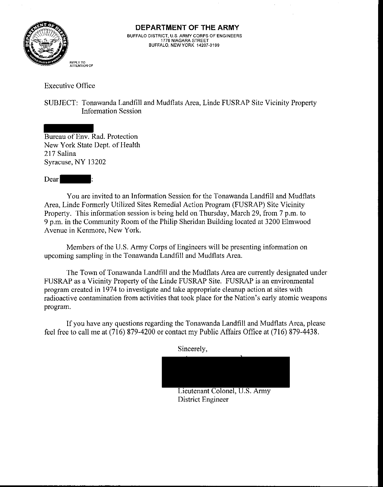

Executive Office

SUBJECT: Tonawanda Landfill and Mudflats Area, Linde FUSRAP Site Vicinity Property Information Session

Bureau of Env. Rad. Protection New York State Dept, of Health 217 Salina Syracuse, NY 13202

Dear

You are invited to an Information Session for the Tonawanda Landfill and Mudflats Area, Linde Formerly Utilized Sites Remedial Action Program (FUSRAP) Site Vicinity Property. This information session is being held on Thursday, March 29, from 7 p.m. to 9 p.m. in the Community Room of the Philip Sheridan Building located at 3200 Elmwood Avenue in Kenmore, New York.

Members of the U.S. Army Corps of Engineers will be presenting information on upcoming sampling in the Tonawanda Landfill and Mudflats Area.

The Town of Tonawanda Landfill and the Mudflats Area are currently designated under FUSRAP as a Vicinity Property of the Linde FUSRAP Site. FUSRAP is an environmental program created in 1974 to investigate and take appropriate cleanup action at sites with radioactive contamination from activities that took place for the Nation's early atomic weapons program.

If you have any questions regarding the Tonawanda Landfill and Mudflats Area, please feel free to call me at (716) 879-4200 or contact my Public Affairs Office at (716) 879-4438.

Lieutenant Colonel, U.S. Army District Engineer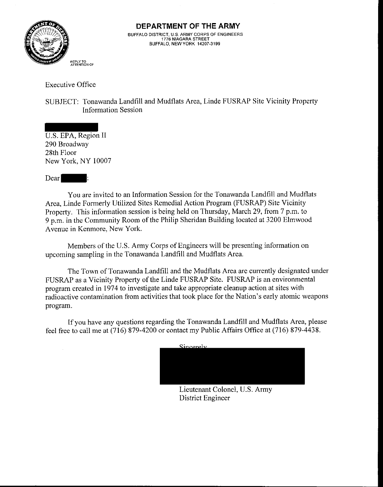

Executive Office

SUBJECT: Tonawanda Landfill and Mudflats Area, Linde FUSRAP Site Vicinity Property Information Session

U.S. EPA, Region I1 290 Broadway 28th Floor New York, NY 10007

Dear  $\overline{a}$ 

You are invited to an Information Session for the Tonawanda Landfill and Mudflats Area, Linde Formerly Utilized Sites Remedial Action Program (FUSRAP) Site Vicinity Property. This information session is being held on Thursday, March 29, from 7 p.m. to 9 p.m. in the Community Room of the Philip Sheridan Building located at 3200 Elmwood Avenue in Kenmore, New York.

Members of the U.S. Army Corps of Engineers will be presenting information on upcoming sampling in the Tonawanda Landfill and Mudflats Area.

The Town of Tonawanda Landfill and the Mudflats Area are currently designated under FUSRAP as a Vicinity Property of the Linde FUSRAP Site. FUSRAP is an environmental program created in 1974 to investigate and take appropriate cleanup action at sites with radioactive contamination from activities that took place for the Nation's early atomic weapons program.

If you have any questions regarding the Tonawanda Landfill and Mudflats Area, please feel free to call me at (716) 879-4200 or contact my Public Affairs Office at (716) 879-4438.

Lieutenant Colonel, U.S. Army District Engineer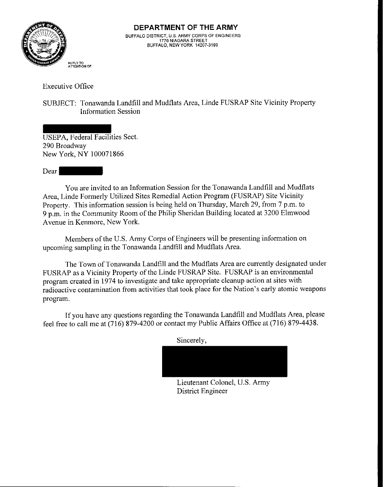

Executive Office

SUBJECT: Tonawanda Landfill and Mudflats Area, Linde FUSRAP Site Vicinity Property Information Session

USEPA, Federal Facilities Sect 290 Broadway New York, NY 100071866

Dear

You are invited to an Information Session for the Tonawanda Landfill and Mudflats Area, Linde Formerly Utilized Sites Remedial Action Program (FUSRAP) Site Vicinity Property. This information session is being held on Thursday, March 29, from 7 p.m. to 9 p.m. in the Community Room of the Philip Sheridan Building located at 3200 Elmwood Avenue in Kenmore, New York.

Members of the U.S. Army Corps of Engineers will be presenting information on upcoming sampling in the Tonawanda Landfill and Mudflats Area.

The Town of Tonawanda Landfill and the Mudflats Area are currently designated under FUSRAP as a Vicinity Property of the Linde FUSRAP Site. FUSRAP is an environmental program created in 1974 to investigate and take appropriate cleanup action at sites with radioactive contamination from activities that took place for the Nation's early atomic weapons program.

If you have any questions regarding the Tonawanda Landfill and Mudflats Area, please feel free to call me at (716) 879-4200 or contact my Public Affairs Office at (716) 879-4438.

Sincerely,

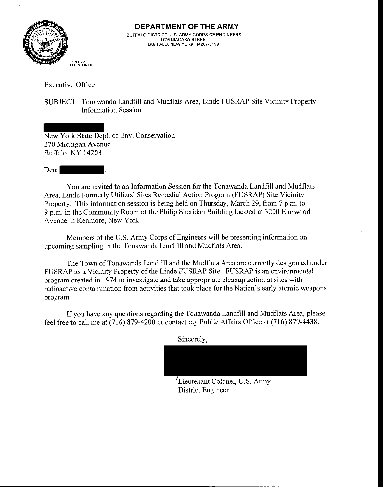

Executive Office

SUBJECT: Tonawanda Landfill and Mudflats Area, Linde FUSRAP Site Vicinity Property Information Session

New York State Dept. of Env. Conservation 270 Michigan Avenue Buffalo, NY 14203

Dear

You are invited to an Information Session for the Tonawanda Landfill and Mudflats Area, Linde Formerly Utilized Sites Remedial Action Program (FUSRAP) Site Vicinity Property. This information session is being held on Thursday, March 29, from 7 p.m. to 9 p.m. in the Community Room of the Philip Sheridan Building located at 3200 Elmwood Avenue in Kenmore, New York.

Members of the U.S. Army Corps of Engineers will be presenting information on upcoming sampling in the Tonawanda Landfill and Mudflats Area.

The Town of Tonawanda Landfill and the Mudflats Area are currently designated under FUSRAP as a Vicinity Property of the Linde FUSRAP Site. FUSRAP is an environmental program created in 1974 to investigate and take appropriate cleanup action at sites with radioactive contamination from activities that took place for the Nation's early atomic weapons program.

If you have any questions regarding the Tonawanda Landfill and Mudflats Area, please feel free to call me at (716) 879-4200 or contact my Public Affairs Office at (716) 879-4438.

Sincerely,

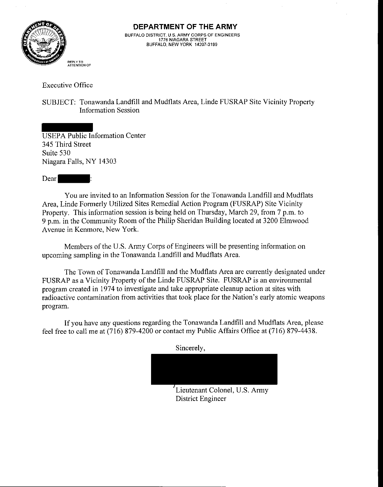

Executive Office

SUBJECT: Tonawanda Landfill and Mudflats Area, Linde FUSRAP Site Vicinity Property Information Session

USEPA Public Information Center 345 Third Street Suite 530 Niagara Falls, NY 14303

Dear

You are invited to an Information Session for the Tonawanda Landfill and Mudflats Area, Linde Formerly Utilized Sites Remedial Action Program (FUSRAP) Site Vicinity Property. This information session is being held on Thursday, March 29, from 7 p.m. to 9 p.m. in the Community Room of the Philip Sheridan Building located at 3200 Elmwood Avenue in Kenmore, New York.

Members of the U.S. Army Corps of Engineers will be presenting information on upcoming sampling in the Tonawanda Landfill and Mudflats Area.

The Town of Tonawanda Landfill and the Mudflats Area are currently designated under FUSRAP as a Vicinity Property of the Linde FUSRAP Site. FUSRAP is an environmental program created in 1974 to investigate and take appropriate cleanup action at sites with radioactive contamination from activities that took place for the Nation's early atomic weapons program.

If you have any questions regarding the Tonawanda Landfill and Mudflats Area, please feel free to call me at (716) 879-4200 or contact my Public Affairs Office at (716) 879-4438.

**<sup>I</sup>**Lieutenant Colonel, U.S. Army District Engineer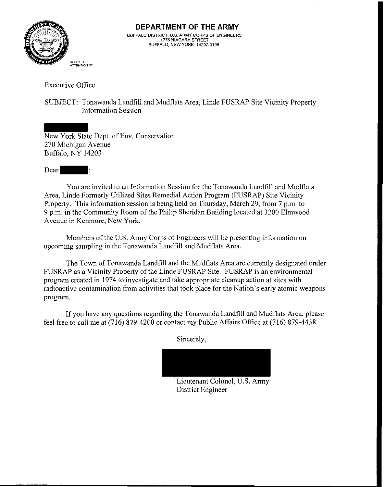

Executive Office

SUBJECT: Tonawanda Landfill and Mudflats Area, Liude FUSRAP Site Vicinity Property Information Session

New York State Dept. of Env. Conservation 270 Michigan Avenue Buffalo. NY 14203

Dear

You are invited to an Information Session for the Tonawanda Landfill and Mudflats Area, Linde Formerly Utilized Sites Remedial Action Program (FUSRAP) Site Vicinity Property. This information session is being held on Thursday, March 29, from 7 p.m. to 9 p.m. in the Community Room of the Philip Sheridan Building located at 3200 Elmwood Avenue in Kenmore, New York.

Members of the U.S. Army Corps of Engineers will be presenting information on upcoming sampling in the Tonawanda Landfill and Mudflats Area.

The Town of Tonawanda Landfill and the Mudflats Area are currently designated under FUSRAP as a Vicinity Property of the Linde FUSRAP Site. FUSRAP is an environmental program created in 1974 to investigate and take appropriate cleanup action at sites with radioactive contamination from activities that took place for the Nation's early atomic weapons program.

If you have any questions regarding the Tonawanda Landfill and Mudflats Area, please feel free to call me at (716) 879-4200 or contact my Public Affairs Office at (716) 879-4438.

Sincerely,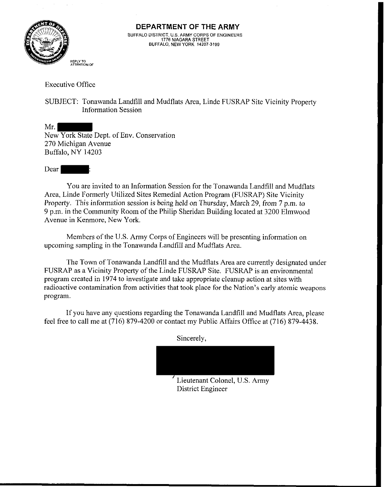

Executive Office

SUBJECT: Tonawanda Landfill and Mudflats Area, Linde FUSRAP Site Vicinity Property Information Session

Mr. New York State Dept. of Env. Conservation 270 Michigan Avenue Buffalo, NY 14203

Dear |

You are invited to an Information Session for the Tonawanda Landfill and Mudflats Area, Linde Formerly Utilized Sites Remedial Action Program (FUSRAP) Site Vicinity Property. This information session is being held on Thursday, March 29, from 7 p.m. to 9 p.m. in the Community Room of the Philip Sheridan Building located at 3200 Elmwood Avenue in Kenmore, New York.

Members of the U.S. Army Corps of Engineers will be presenting information on upcoming sampling in the Tonawanda Landfill and Mudflats Area.

The Town of Tonawanda Landfill and the Mudflats Area are currently designated under FUSRAP as a Vicinity Property of the Linde FUSRAP Site. FUSRAP is an environmental program created in 1974 to investigate and take appropriate cleanup action at sites with radioactive contamination from activities that took place for the Nation's early atomic weapons program.

If you have any questions regarding the Tonawanda Landfill and Mudflats Area, please feel free to call me at (716) 879-4200 or contact my Public Affairs Office at (716) 879-4438.

Sincerely,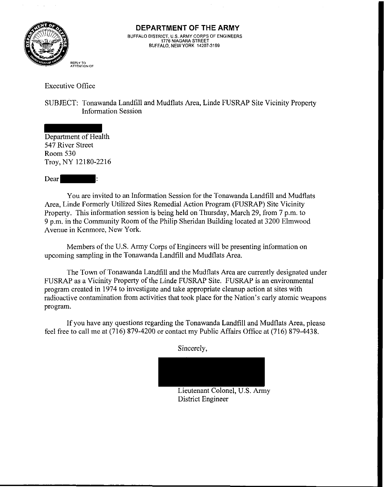

Executive Office

SUBJECT: Tonawanda Landfill and Mudflats Area, Linde FUSRAP Site Vicinity Property Information Session

Department of Health 547 River Street Room 530 Troy, NY 12180-2216

Dear

You are invited to an Information Session for the Tonawanda Landfill and Mudflats Area, Linde Formerly Utilized Sites Remedial Action Program (FUSRAP) Site Vicinity Property. This information session is being held on Thursday, March 29, from 7 p.m. to 9 p.m. in the Community Room of the Philip Sheridan Building located at 3200 Elmwood Avenue in Kenmore, New York.

Members of the U.S. Army Corps of Engineers will be presenting information on upcoming sampling in the Tonawanda Landfill and Mudflats Area.

The Town of Tonawanda Landfill and the Mudflats Area are currently designated under FUSRAP as a Vicinity Property of the Linde FUSRAP Site. FUSRAP is an environmental program created in 1974 to investigate and take appropriate cleanup action at sites with radioactive contamination from activities that took place for the Nation's early atomic weapons program.

If you have any questions regarding the Tonawanda Landfill and Mudflats Area, please feel free to call me at (716) 879-4200 or contact my Public Affairs Office at (716) 879-4438.

d&

Lieutenant Colonel, U.S. Amy District Engineer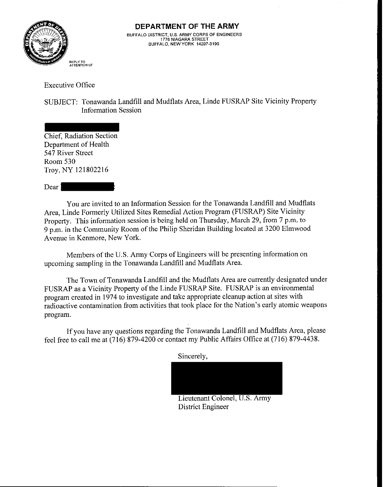

Executive Office

SUBJECT: Tonawanda Landfill and Mudflats Area, Linde FUSRAP Site Vicinity Property Information Session

Chief, Radiation Section Department of Health 547 River Street Room 530 Troy, NY 121802216

Dear 1

You are invited to an Information Session for the Tonawanda Landfill and Mudflats Area, Linde Formerly Utilized Sites Remedial Action Program (FUSRAP) Site Vicinity Property. This information session is being held on Thursday, March 29, from 7 p.m. to 9 p.m. in the Community Room of the Philip Sheridan Building located at 3200 Elmwood Avenue in Kenmore, New York.

Members of the U.S. Army Corps of Engineers will be presenting information on upcoming sampling in the Tonawanda Landfill and Mudflats Area.

The Town of Tonawanda Landfill and the Mudflats Area are currently designated under FUSRAP as a Vicinity Property of the Linde FUSRAP Site. FUSRAP is an environmental program created in 1974 to investigate and take appropriate cleanup action at sites with radioactive contamination from activities that took place for the Nation's early atomic weapons program.

If you have any questions regarding the Tonawanda Landfill and Mudflats Area, please feel free to call me at (716) 879-4200 or contact my Public Affairs Office at (716) 879-4438.

Lieutenant Colonel, U.S. Army District Engineer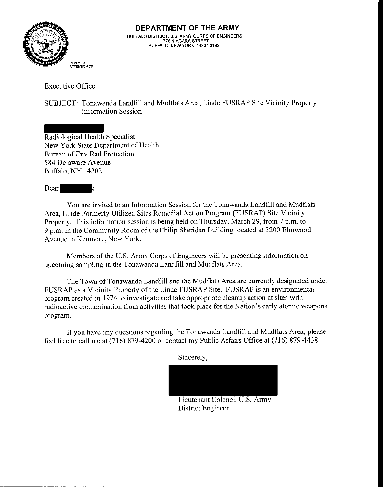

Executive Office

SUBJECT: Tonawanda Landfill and Mudflats Area, Linde FUSRAP Site Vicinity Property Information Session

Radiological Health Specialist New York State Department of Health Bureau of Env Rad Protection 584 Delaware Avenue Buffalo. NY 14202

Dear :

You are invited to an Information Session for the Tonawanda Landfill and Mudflats Area, Linde Formerly Utilized Sites Remedial Action Program (FUSRAP) Site Vicinity Property. This information session is being held on Thursday, March 29, from 7 p.m. to 9 p.m. in the Community Room of the Philip Sheridan Building located at 3200 Elmwood Avenue in Kenmore, New York.

Members of the U.S. Army Corps of Engineers will be presenting information on upcoming sampling in the Tonawanda Landfill and Mudflats Area.

The Town of Tonawanda Landfill and the Mudflats Area are currently designated under FUSRAP as a Vicinity Property of the Linde FUSRAP Site. FUSRAP is an environmental program created in 1974 to investigate and take appropriate cleanup action at sites with radioactive contamination from activities that took place for the Nation's early atomic weapons program.

If you have any questions regarding the Tonawanda Landfill and Mudflats Area, please feel free to call me at (716) 879-4200 or contact my Public Affairs Office at (716) 879-4438.

Sincerely,

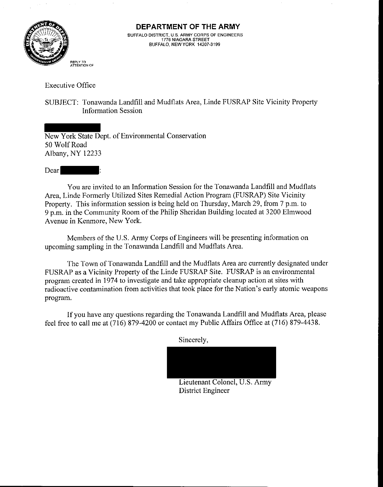

Executive Office

SUBJECT: Tonawanda Landfill and Mudflats Area, Linde FUSRAP Site Vicinity Property Information Session

New York State Dept. of Environmental Conservation 50 Wolf Road Albany, NY 12233

Dear

You are invited to an Information Session for the Tonawanda Landfill and Mudflats Area, Linde Formerly Utilized Sites Remedial Action Program (FUSRAP) Site Vicinity Property. This information session is being held on Thursday, March 29, from 7 p.m. to 9 p.m. in the Community Room of the Philip Sheridan Building located at 3200 Elmwood Avenue in Kenmore. New York.

Members of the U.S. Army Corps of Engineers will be presenting information on upcoming sampling in the Tonawanda Landfill and Mudflats Area.

The Town of Tonawanda Landfill and the Mudflats Area are currently designated under FUSRAP as a Vicinity Property of the Linde FUSRAP Site. FUSRAP is an environmental program created in 1974 to investigate and take appropriate cleanup action at sites with radioactive contamination from activities that took place for the Nation's early atomic weapons program.

If you have any questions regarding the Tonawanda Landfill and Mudflats Area, please feel free to call me at (716) 879-4200 or contact my Public Affairs Office at (716) 879-4438.

Sincerely,

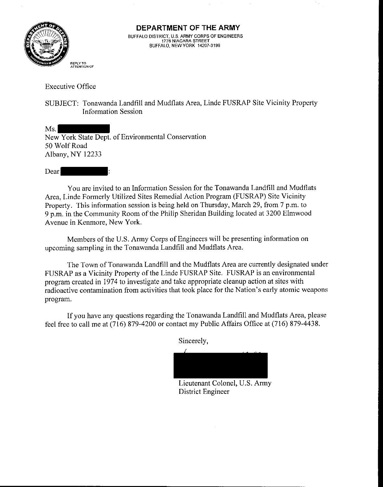

Executive Office

SUBJECT: Tonawanda Landfill and Mudflats Area, Linde FUSRAP Site Vicinity Property Information Session

Ms. New York State Dept. of Environmental Conservation 50 Wolf Road Albany, NY 12233

Dear

You are invited to an Information Session for the Tonawanda Landfill and Mudflats Area, Linde Formerly Utilized Sites Remedial Action Program (FUSRAP) Site Vicinity Property. This information session is being held on Thursday, March 29, from 7 p.m. to 9 p.m. in the Community Room of the Philip Sheridan Building located at 3200 Elmwood Avenue in Kenmore, New York.

Members of the U.S. Army Corps of Engineers will be presenting information on upcoming sampling in the Tonawanda Landfill and Mudflats Area.

The Town of Tonawanda Landfill and the Mudflats Area are currently designated under FUSRAP as a Vicinity Property of the Linde FUSRAP Site. FUSRAP is an environmental program created in 1974 to investigate and take appropriate cleanup action at sites with radioactive contamination from activities that took place for the Nation's early atomic weapons program.

If you have any questions regarding the Tonawanda Landfill and Mudflats Area, please feel free to call me at (716) 879-4200 or contact my Public Affairs Office at (716) 879-4438.

Lieutenant Colonel, U.S. Army District Engineer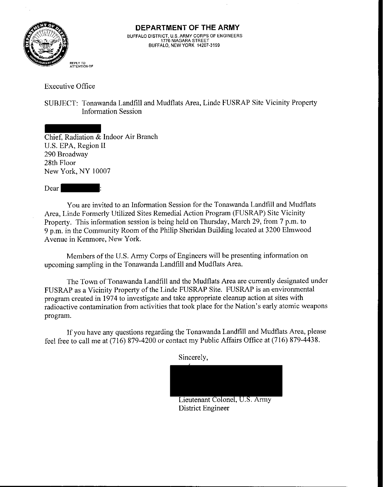

Executive Office

SUBJECT: Tonawanda Landfill and Mudflats Area, Linde FUSRAP Site Vicinity Property Information Session

Chief, Radiation & Indoor Air Branch U.S. EPA, Region I1 290 Broadway 28th Floor New York. NY 10007

Dear |

You are invited to an Information Session for the Tonawanda Landfill and Mudflats Area, Linde Formerly Utilized Sites Remedial Action Program (FUSRAP) Site Vicinity Property. This information session is being held on Thursday, March 29, from 7 p.m. to 9 p.m. in the Community Room of the Philip Sheridan Building located at 3200 Elmwood Avenue in Kenmore, New York.

Members of the U.S. Army Corps of Engineers will be presenting information on upcoming sampling in the Tonawanda Landfill and Mudflats Area.

The Town of Tonawanda Landfill and the Mudflats Area are currently designated under FUSRAP as a Vicinity Property of the Linde FUSRAP Site. FUSRAP is an environmental program created in 1974 to investigate and take appropriate cleanup action at sites with radioactive contamination from activities that took place for the Nation's early atomic weapons program.

If you have any questions regarding the Tonawanda Landfill and Mudflats Area, please feel free to call me at (716) 879-4200 or contact my Public Affairs Office at (716) 879-4438.



Lieutenant Colonel, U.S. Army District Engineer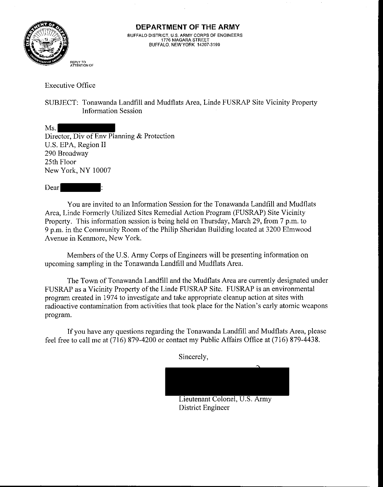

Executive Office

SUBJECT: Tonawanda Landfill and Mudflats Area, Linde FUSRAP Site Vicinity Property Information Session

Ms. Director, Div of Env Planning & Protection U.S. EPA, Region I1 290 Broadway 25th Floor New York, NY 10007

Dear

You are invited to an Information Session for the Tonawanda Landfill and Mudflats Area, Linde Formerly Utilized Sites Remedial Action Program (FUSRAP) Site Vicinity Property. This information session is being held on Thursday, March 29, from 7 p.m. to 9 p.m. in the Community Room of the Philip Sheridan Building located at 3200 Elmwood Avenue in Kenmore, New York.

Members of the U.S. Army Corps of Engineers will be presenting information on upcoming sampling in the Tonawanda Landfill and Mudflats Area.

The Town of Tonawanda Landfill and the Mudflats Area are currently designated under FUSRAP as a Vicinity Property of the Linde FUSRAP Site. FUSRAP is an environmental program created in 1974 to investigate and take appropriate cleanup action at sites with radioactive contamination from activities that took place for the Nation's early atomic weapons program.

If you have any questions regarding the Tonawanda Landfill and Mudflats Area, please feel free to call me at (716) 879-4200 or contact my Public Affairs Office at (716) 879-4438.

Lieutenant Colonel, U.S. Army

District Engineer